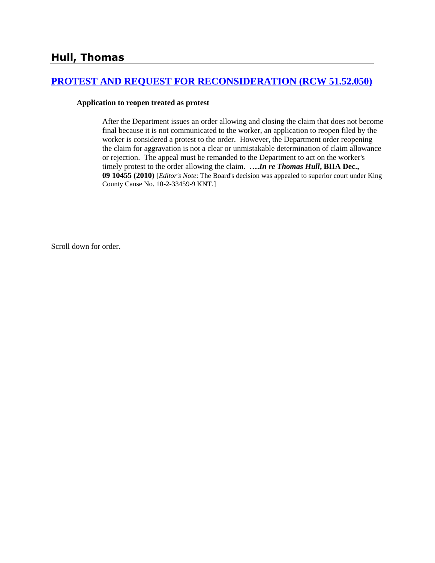# **[PROTEST AND REQUEST FOR RECONSIDERATION \(RCW 51.52.050\)](http://www.biia.wa.gov/SDSubjectIndex.html#PROTEST_AND_REQUEST_FOR_RECONSIDERATION)**

#### **Application to reopen treated as protest**

After the Department issues an order allowing and closing the claim that does not become final because it is not communicated to the worker, an application to reopen filed by the worker is considered a protest to the order. However, the Department order reopening the claim for aggravation is not a clear or unmistakable determination of claim allowance or rejection. The appeal must be remanded to the Department to act on the worker's timely protest to the order allowing the claim. **….***In re Thomas Hull***, BIIA Dec., 09 10455 (2010)** [*Editor's Note*: The Board's decision was appealed to superior court under King County Cause No. 10-2-33459-9 KNT.]

Scroll down for order.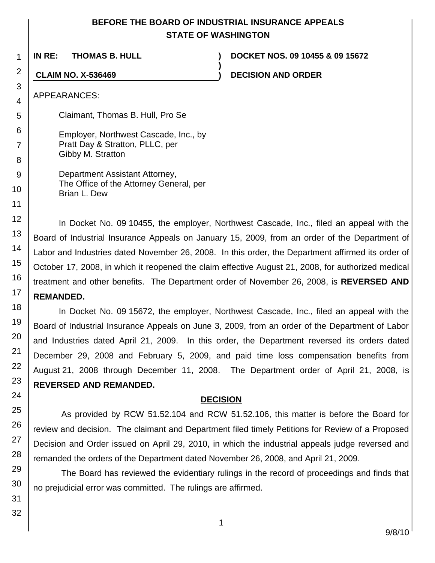# **BEFORE THE BOARD OF INDUSTRIAL INSURANCE APPEALS STATE OF WASHINGTON**

**IN RE: THOMAS B. HULL ) DOCKET NOS. 09 10455 & 09 15672 ) CLAIM NO. X-536469 ) DECISION AND ORDER** APPEARANCES: Claimant, Thomas B. Hull, Pro Se Employer, Northwest Cascade, Inc., by Pratt Day & Stratton, PLLC, per Gibby M. Stratton Department Assistant Attorney, The Office of the Attorney General, per Brian L. Dew

In Docket No. 09 10455, the employer, Northwest Cascade, Inc., filed an appeal with the Board of Industrial Insurance Appeals on January 15, 2009, from an order of the Department of Labor and Industries dated November 26, 2008. In this order, the Department affirmed its order of October 17, 2008, in which it reopened the claim effective August 21, 2008, for authorized medical treatment and other benefits. The Department order of November 26, 2008, is **REVERSED AND REMANDED.** 

In Docket No. 09 15672, the employer, Northwest Cascade, Inc., filed an appeal with the Board of Industrial Insurance Appeals on June 3, 2009, from an order of the Department of Labor and Industries dated April 21, 2009. In this order, the Department reversed its orders dated December 29, 2008 and February 5, 2009, and paid time loss compensation benefits from August 21, 2008 through December 11, 2008. The Department order of April 21, 2008, is **REVERSED AND REMANDED.** 

## **DECISION**

As provided by RCW 51.52.104 and RCW 51.52.106, this matter is before the Board for review and decision. The claimant and Department filed timely Petitions for Review of a Proposed Decision and Order issued on April 29, 2010, in which the industrial appeals judge reversed and remanded the orders of the Department dated November 26, 2008, and April 21, 2009.

The Board has reviewed the evidentiary rulings in the record of proceedings and finds that no prejudicial error was committed. The rulings are affirmed.

1

2

3 4

5

6

7

8 9

10

11

12

13 14

15 16

17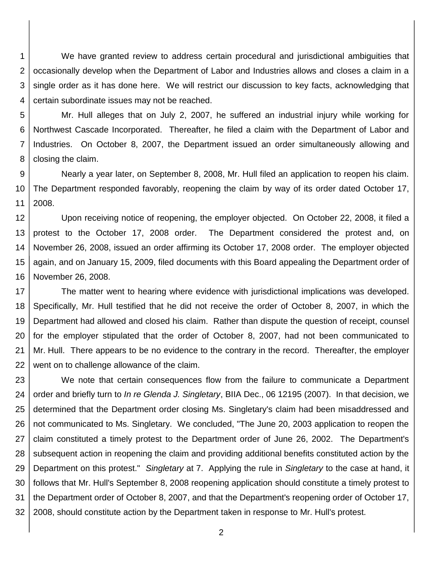1 2 3 4 We have granted review to address certain procedural and jurisdictional ambiguities that occasionally develop when the Department of Labor and Industries allows and closes a claim in a single order as it has done here. We will restrict our discussion to key facts, acknowledging that certain subordinate issues may not be reached.

5 6 7 8 Mr. Hull alleges that on July 2, 2007, he suffered an industrial injury while working for Northwest Cascade Incorporated. Thereafter, he filed a claim with the Department of Labor and Industries. On October 8, 2007, the Department issued an order simultaneously allowing and closing the claim.

9 10 11 Nearly a year later, on September 8, 2008, Mr. Hull filed an application to reopen his claim. The Department responded favorably, reopening the claim by way of its order dated October 17, 2008.

12 13 14 15 16 Upon receiving notice of reopening, the employer objected. On October 22, 2008, it filed a protest to the October 17, 2008 order. The Department considered the protest and, on November 26, 2008, issued an order affirming its October 17, 2008 order. The employer objected again, and on January 15, 2009, filed documents with this Board appealing the Department order of November 26, 2008.

17 18 19 20 21 22 The matter went to hearing where evidence with jurisdictional implications was developed. Specifically, Mr. Hull testified that he did not receive the order of October 8, 2007, in which the Department had allowed and closed his claim. Rather than dispute the question of receipt, counsel for the employer stipulated that the order of October 8, 2007, had not been communicated to Mr. Hull. There appears to be no evidence to the contrary in the record. Thereafter, the employer went on to challenge allowance of the claim.

23 24 25 26 27 28 29 30 31 32 We note that certain consequences flow from the failure to communicate a Department order and briefly turn to *In re Glenda J. Singletary*, BIIA Dec., 06 12195 (2007). In that decision, we determined that the Department order closing Ms. Singletary's claim had been misaddressed and not communicated to Ms. Singletary. We concluded, "The June 20, 2003 application to reopen the claim constituted a timely protest to the Department order of June 26, 2002. The Department's subsequent action in reopening the claim and providing additional benefits constituted action by the Department on this protest." *Singletary* at 7. Applying the rule in *Singletary* to the case at hand, it follows that Mr. Hull's September 8, 2008 reopening application should constitute a timely protest to the Department order of October 8, 2007, and that the Department's reopening order of October 17, 2008, should constitute action by the Department taken in response to Mr. Hull's protest.

2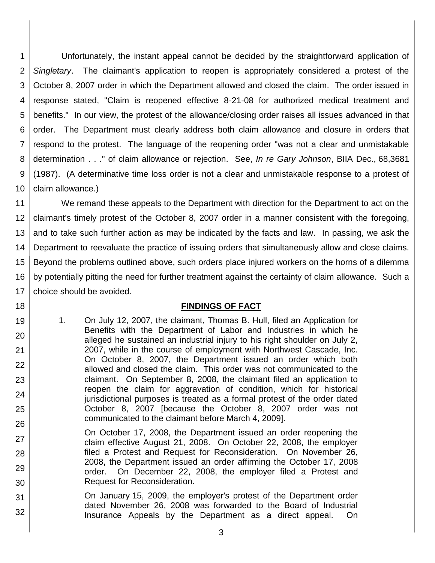1 2 3 4 5 6 7 8 9 10 Unfortunately, the instant appeal cannot be decided by the straightforward application of *Singletary*. The claimant's application to reopen is appropriately considered a protest of the October 8, 2007 order in which the Department allowed and closed the claim. The order issued in response stated, "Claim is reopened effective 8-21-08 for authorized medical treatment and benefits." In our view, the protest of the allowance/closing order raises all issues advanced in that order. The Department must clearly address both claim allowance and closure in orders that respond to the protest. The language of the reopening order "was not a clear and unmistakable determination . . ." of claim allowance or rejection. See, *In re Gary Johnson*, BIIA Dec., 68,3681 (1987). (A determinative time loss order is not a clear and unmistakable response to a protest of claim allowance.)

11 12 13 14 15 16 17 We remand these appeals to the Department with direction for the Department to act on the claimant's timely protest of the October 8, 2007 order in a manner consistent with the foregoing, and to take such further action as may be indicated by the facts and law. In passing, we ask the Department to reevaluate the practice of issuing orders that simultaneously allow and close claims. Beyond the problems outlined above, such orders place injured workers on the horns of a dilemma by potentially pitting the need for further treatment against the certainty of claim allowance. Such a choice should be avoided.

## **FINDINGS OF FACT**

1. On July 12, 2007, the claimant, Thomas B. Hull, filed an Application for Benefits with the Department of Labor and Industries in which he alleged he sustained an industrial injury to his right shoulder on July 2, 2007, while in the course of employment with Northwest Cascade, Inc. On October 8, 2007, the Department issued an order which both allowed and closed the claim. This order was not communicated to the claimant. On September 8, 2008, the claimant filed an application to reopen the claim for aggravation of condition, which for historical jurisdictional purposes is treated as a formal protest of the order dated October 8, 2007 [because the October 8, 2007 order was not communicated to the claimant before March 4, 2009].

18

19

20

21

22

23

24

25

- 26 27 28 29 30 On October 17, 2008, the Department issued an order reopening the claim effective August 21, 2008. On October 22, 2008, the employer filed a Protest and Request for Reconsideration. On November 26, 2008, the Department issued an order affirming the October 17, 2008 order. On December 22, 2008, the employer filed a Protest and Request for Reconsideration.
- 31 32 On January 15, 2009, the employer's protest of the Department order dated November 26, 2008 was forwarded to the Board of Industrial Insurance Appeals by the Department as a direct appeal. On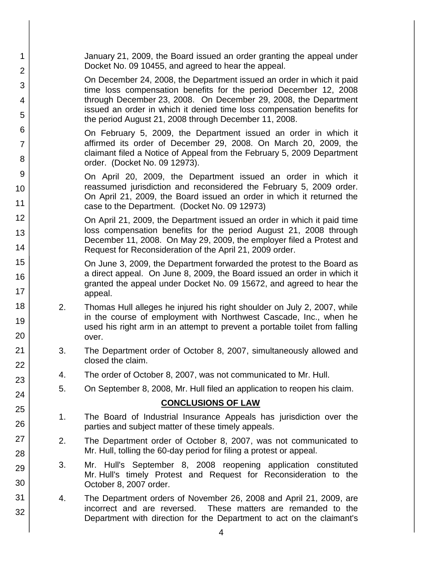| 1<br>2              |                                                                                                                                               | January 21, 2009, the Board issued an order granting the appeal under<br>Docket No. 09 10455, and agreed to hear the appeal.                                                                                  |  |  |
|---------------------|-----------------------------------------------------------------------------------------------------------------------------------------------|---------------------------------------------------------------------------------------------------------------------------------------------------------------------------------------------------------------|--|--|
| 3                   |                                                                                                                                               | On December 24, 2008, the Department issued an order in which it paid                                                                                                                                         |  |  |
| 4                   |                                                                                                                                               | time loss compensation benefits for the period December 12, 2008<br>through December 23, 2008. On December 29, 2008, the Department                                                                           |  |  |
| 5                   |                                                                                                                                               | issued an order in which it denied time loss compensation benefits for<br>the period August 21, 2008 through December 11, 2008.                                                                               |  |  |
| 6                   |                                                                                                                                               | On February 5, 2009, the Department issued an order in which it                                                                                                                                               |  |  |
| $\overline{7}$<br>8 |                                                                                                                                               | affirmed its order of December 29, 2008. On March 20, 2009, the<br>claimant filed a Notice of Appeal from the February 5, 2009 Department                                                                     |  |  |
| 9                   |                                                                                                                                               | order. (Docket No. 09 12973).                                                                                                                                                                                 |  |  |
| 10                  |                                                                                                                                               | On April 20, 2009, the Department issued an order in which it<br>reassumed jurisdiction and reconsidered the February 5, 2009 order.<br>On April 21, 2009, the Board issued an order in which it returned the |  |  |
| 11                  |                                                                                                                                               | case to the Department. (Docket No. 09 12973)                                                                                                                                                                 |  |  |
| 12                  | On April 21, 2009, the Department issued an order in which it paid time                                                                       |                                                                                                                                                                                                               |  |  |
| 13                  |                                                                                                                                               | loss compensation benefits for the period August 21, 2008 through<br>December 11, 2008. On May 29, 2009, the employer filed a Protest and                                                                     |  |  |
| 14                  | Request for Reconsideration of the April 21, 2009 order.                                                                                      |                                                                                                                                                                                                               |  |  |
| 15                  |                                                                                                                                               | On June 3, 2009, the Department forwarded the protest to the Board as                                                                                                                                         |  |  |
| 16<br>17            |                                                                                                                                               | a direct appeal. On June 8, 2009, the Board issued an order in which it<br>granted the appeal under Docket No. 09 15672, and agreed to hear the<br>appeal.                                                    |  |  |
| 18<br>2.            |                                                                                                                                               | Thomas Hull alleges he injured his right shoulder on July 2, 2007, while<br>in the course of employment with Northwest Cascade, Inc., when he                                                                 |  |  |
| 19<br>20            |                                                                                                                                               | used his right arm in an attempt to prevent a portable toilet from falling<br>over.                                                                                                                           |  |  |
| 21<br>22            | 3.<br>The Department order of October 8, 2007, simultaneously allowed and<br>closed the claim.                                                |                                                                                                                                                                                                               |  |  |
| 23                  | The order of October 8, 2007, was not communicated to Mr. Hull.<br>4.                                                                         |                                                                                                                                                                                                               |  |  |
| 24                  | 5.                                                                                                                                            | On September 8, 2008, Mr. Hull filed an application to reopen his claim.                                                                                                                                      |  |  |
| 25                  | <b>CONCLUSIONS OF LAW</b>                                                                                                                     |                                                                                                                                                                                                               |  |  |
| 26                  | 1.                                                                                                                                            | The Board of Industrial Insurance Appeals has jurisdiction over the                                                                                                                                           |  |  |
| 27                  |                                                                                                                                               | parties and subject matter of these timely appeals.                                                                                                                                                           |  |  |
| 28                  | 2.<br>The Department order of October 8, 2007, was not communicated to<br>Mr. Hull, tolling the 60-day period for filing a protest or appeal. |                                                                                                                                                                                                               |  |  |
| 3.<br>29            |                                                                                                                                               | Mr. Hull's September 8, 2008 reopening application constituted                                                                                                                                                |  |  |
| 30                  |                                                                                                                                               | Mr. Hull's timely Protest and Request for Reconsideration to the<br>October 8, 2007 order.                                                                                                                    |  |  |
| 31                  | 4.<br>The Department orders of November 26, 2008 and April 21, 2009, are                                                                      |                                                                                                                                                                                                               |  |  |
| 32                  |                                                                                                                                               | These matters are remanded to the<br>incorrect and are reversed.<br>Department with direction for the Department to act on the claimant's                                                                     |  |  |
|                     |                                                                                                                                               |                                                                                                                                                                                                               |  |  |